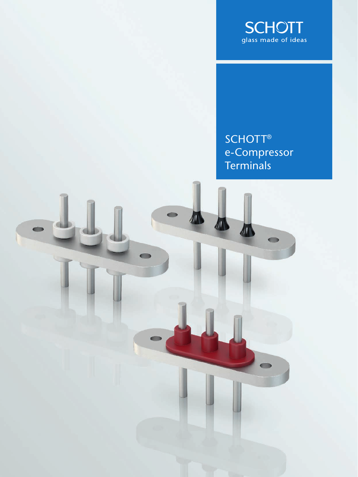

SCHOTT<sup>®</sup> e-Compressor **Terminals** 

 $\bullet$ 

小小小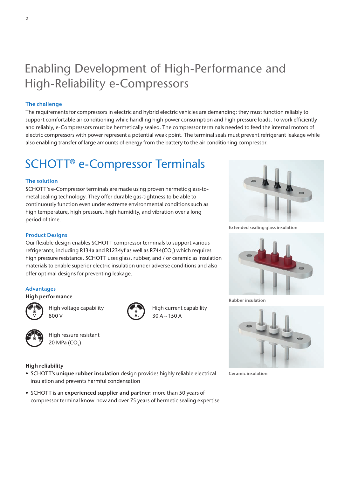# Enabling Development of High-Performance and High-Reliability e-Compressors

## **The challenge**

The requirements for compressors in electric and hybrid electric vehicles are demanding: they must function reliably to support comfortable air conditioning while handling high power consumption and high pressure loads. To work efficiently and reliably, e-Compressors must be hermetically sealed. The compressor terminals needed to feed the internal motors of electric compressors with power represent a potential weak point. The terminal seals must prevent refrigerant leakage while also enabling transfer of large amounts of energy from the battery to the air conditioning compressor.

High current capability

 $30 A \sim 150 A$ 

## SCHOTT® e-Compressor Terminals

## **The solution**

SCHOTT's e-Compressor terminals are made using proven hermetic glass-tometal sealing technology. They offer durable gas-tightness to be able to continuously function even under extreme environmental conditions such as high temperature, high pressure, high humidity, and vibration over a long period of time.

## **Product Designs**

Our flexible design enables SCHOTT compressor terminals to support various refrigerants, including R134a and R1234yf as well as R744(CO<sub>2</sub>) which requires high pressure resistance. SCHOTT uses glass, rubber, and / or ceramic as insulation materials to enable superior electric insulation under adverse conditions and also offer optimal designs for preventing leakage.

### **Advantages**

#### **High performance**



High voltage capability 800 V



High ressure resistant  $20$  MPa  $(CO<sub>2</sub>)$ 

### **High reliability**

- SCHOTT's **unique rubber insulation** design provides highly reliable electrical insulation and prevents harmful condensation
- SCHOTT is an **experienced supplier and partner**: more than 50 years of compressor terminal know-how and over 75 years of hermetic sealing expertise



**Extended sealing glass insulation**



**Rubber insulation**



**Ceramic insulation**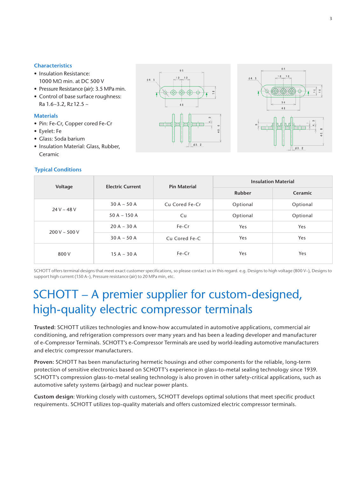## **Characteristics**

- Insulation Resistance: 1000 MΩ min. at DC 500 V
- Pressure Resistance (air): 3.5 MPa min.
- Control of base surface roughness: Ra 1.6~3.2, Rz12.5 ~

## **Materials**

- Pin: Fe-Cr, Copper cored Fe-Cr
- Eyelet: Fe
- Glass: Soda barium
- Insulation Material: Glass, Rubber, Ceramic

## **Typical Conditions**





| Voltage            | <b>Electric Current</b> | <b>Pin Material</b> | <b>Insulation Material</b> |          |
|--------------------|-------------------------|---------------------|----------------------------|----------|
|                    |                         |                     | <b>Rubber</b>              | Ceramic  |
| $24 V - 48 V$      | $30 A \sim 50 A$        | Cu Cored Fe-Cr      | Optional                   | Optional |
|                    | 50 A $\sim$ 150 A       | Cu                  | Optional                   | Optional |
| $200 V \sim 500 V$ | $20 A - 30 A$           | Fe-Cr               | Yes                        | Yes      |
|                    | $30 A \sim 50 A$        | Cu Cored Fe-C       | Yes                        | Yes      |
| 800 V              | $15 A - 30 A$           | Fe-Cr               | Yes                        | Yes      |

SCHOTT offers terminal designs that meet exact customer specifications, so please contact us in this regard. e.g. Designs to high voltage (800 V~), Designs to support high current (150 A~), Pressure resistance (air) to 20 MPa min, etc.

## SCHOTT – A premier supplier for custom-designed, high-quality electric compressor terminals

**Trusted:** SCHOTT utilizes technologies and know-how accumulated in automotive applications, commercial air conditioning, and refrigeration compressors over many years and has been a leading developer and manufacturer of e-Compressor Terminals. SCHOTT's e-Compressor Terminals are used by world-leading automotive manufacturers and electric compressor manufacturers.

**Proven:** SCHOTT has been manufacturing hermetic housings and other components for the reliable, long-term protection of sensitive electronics based on SCHOTT's experience in glass-to-metal sealing technology since 1939. SCHOTT's compression glass-to-metal sealing technology is also proven in other safety-critical applications, such as automotive safety systems (airbags) and nuclear power plants.

**Custom design**: Working closely with customers, SCHOTT develops optimal solutions that meet specific product requirements. SCHOTT utilizes top-quality materials and offers customized electric compressor terminals.